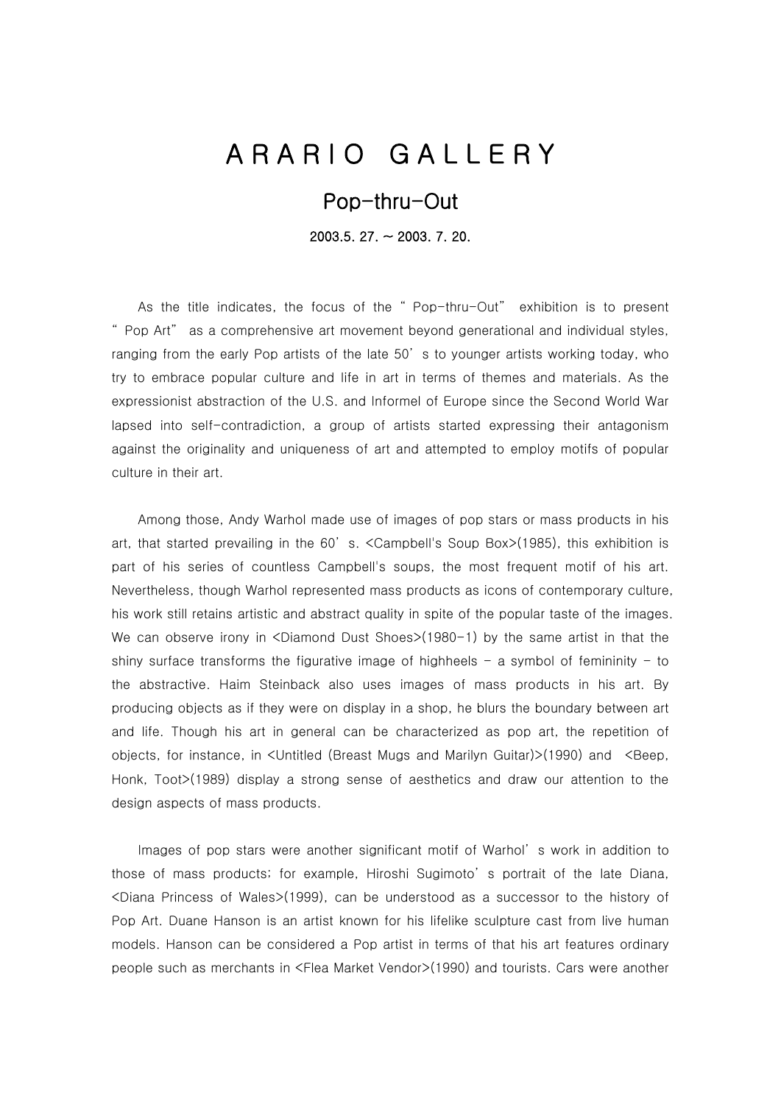## A R A R I O G A L L E R Y

## Pop-thru-Out

2003.5. 27. ~ 2003. 7. 20.

As the title indicates, the focus of the " Pop-thru-Out" exhibition is to present " Pop Art" as a comprehensive art movement beyond generational and individual styles, ranging from the early Pop artists of the late 50' s to younger artists working today, who try to embrace popular culture and life in art in terms of themes and materials. As the expressionist abstraction of the U.S. and Informel of Europe since the Second World War lapsed into self-contradiction, a group of artists started expressing their antagonism against the originality and uniqueness of art and attempted to employ motifs of popular culture in their art.

Among those, Andy Warhol made use of images of pop stars or mass products in his art, that started prevailing in the 60' s. <Campbell's Soup Box>(1985), this exhibition is part of his series of countless Campbell's soups, the most frequent motif of his art. Nevertheless, though Warhol represented mass products as icons of contemporary culture, his work still retains artistic and abstract quality in spite of the popular taste of the images. We can observe irony in <Diamond Dust Shoes>(1980-1) by the same artist in that the shiny surface transforms the figurative image of highheels  $-$  a symbol of femininity  $-$  to the abstractive. Haim Steinback also uses images of mass products in his art. By producing objects as if they were on display in a shop, he blurs the boundary between art and life. Though his art in general can be characterized as pop art, the repetition of objects, for instance, in <Untitled (Breast Mugs and Marilyn Guitar)>(1990) and <Beep, Honk, Toot>(1989) display a strong sense of aesthetics and draw our attention to the design aspects of mass products.

 Images of pop stars were another significant motif of Warhol' s work in addition to those of mass products; for example, Hiroshi Sugimoto' s portrait of the late Diana, <Diana Princess of Wales>(1999), can be understood as a successor to the history of Pop Art. Duane Hanson is an artist known for his lifelike sculpture cast from live human models. Hanson can be considered a Pop artist in terms of that his art features ordinary people such as merchants in <Flea Market Vendor>(1990) and tourists. Cars were another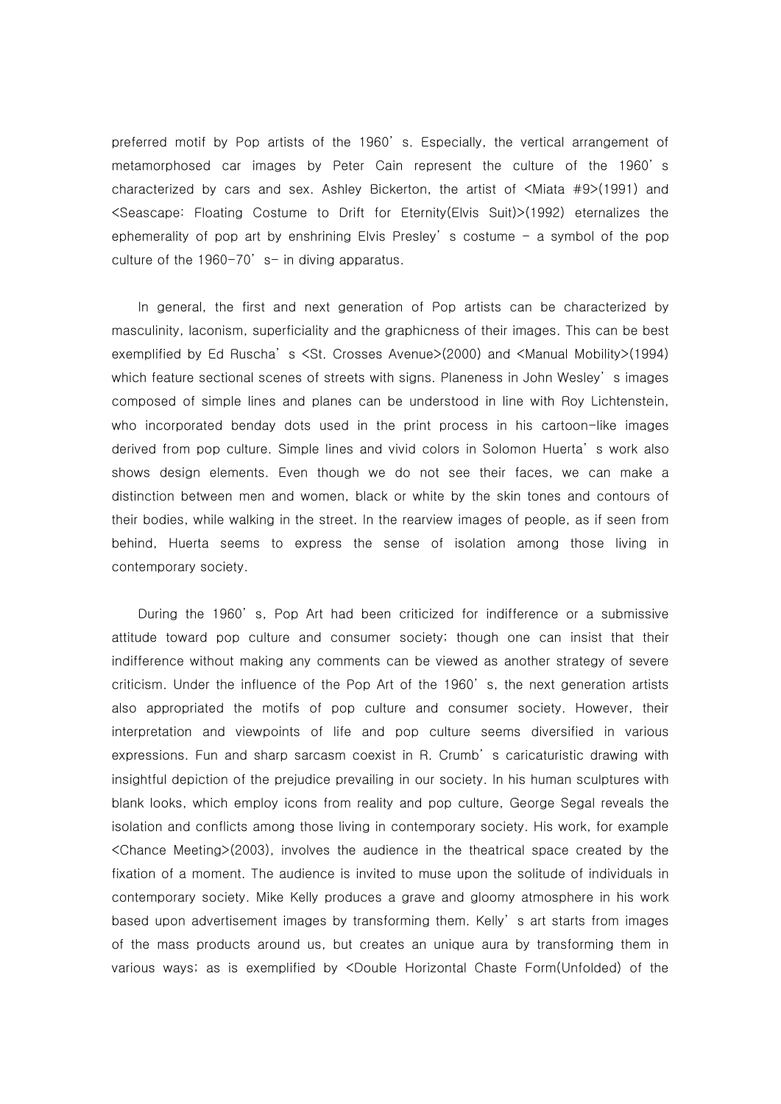preferred motif by Pop artists of the 1960' s. Especially, the vertical arrangement of metamorphosed car images by Peter Cain represent the culture of the 1960' s characterized by cars and sex. Ashley Bickerton, the artist of <Miata #9>(1991) and <Seascape: Floating Costume to Drift for Eternity(Elvis Suit)>(1992) eternalizes the ephemerality of pop art by enshrining Elvis Presley' s costume  $-$  a symbol of the pop culture of the  $1960-70'$  s- in diving apparatus.

In general, the first and next generation of Pop artists can be characterized by masculinity, laconism, superficiality and the graphicness of their images. This can be best exemplified by Ed Ruscha' s <St. Crosses Avenue>(2000) and <Manual Mobility>(1994) which feature sectional scenes of streets with signs. Planeness in John Wesley' s images composed of simple lines and planes can be understood in line with Roy Lichtenstein, who incorporated benday dots used in the print process in his cartoon-like images derived from pop culture. Simple lines and vivid colors in Solomon Huerta' s work also shows design elements. Even though we do not see their faces, we can make a distinction between men and women, black or white by the skin tones and contours of their bodies, while walking in the street. In the rearview images of people, as if seen from behind, Huerta seems to express the sense of isolation among those living in contemporary society.

During the 1960' s, Pop Art had been criticized for indifference or a submissive attitude toward pop culture and consumer society; though one can insist that their indifference without making any comments can be viewed as another strategy of severe criticism. Under the influence of the Pop Art of the 1960' s, the next generation artists also appropriated the motifs of pop culture and consumer society. However, their interpretation and viewpoints of life and pop culture seems diversified in various expressions. Fun and sharp sarcasm coexist in R. Crumb' s caricaturistic drawing with insightful depiction of the prejudice prevailing in our society. In his human sculptures with blank looks, which employ icons from reality and pop culture, George Segal reveals the isolation and conflicts among those living in contemporary society. His work, for example <Chance Meeting>(2003), involves the audience in the theatrical space created by the fixation of a moment. The audience is invited to muse upon the solitude of individuals in contemporary society. Mike Kelly produces a grave and gloomy atmosphere in his work based upon advertisement images by transforming them. Kelly' s art starts from images of the mass products around us, but creates an unique aura by transforming them in various ways; as is exemplified by <Double Horizontal Chaste Form(Unfolded) of the